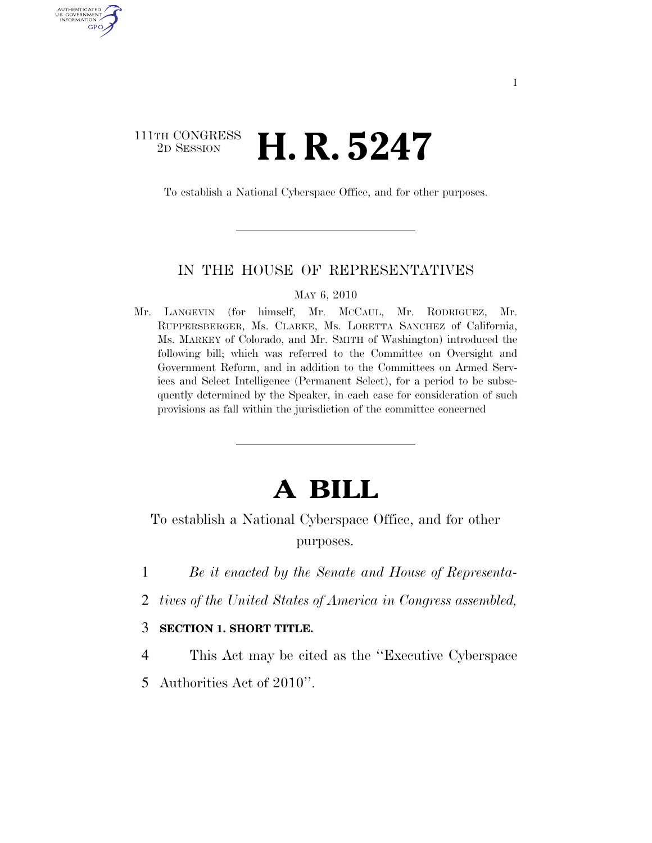## 111TH CONGRESS <sup>2D SESSION</sup> **H. R. 5247**

AUTHENTICATED U.S. GOVERNMENT GPO

To establish a National Cyberspace Office, and for other purposes.

## IN THE HOUSE OF REPRESENTATIVES

MAY 6, 2010

Mr. LANGEVIN (for himself, Mr. MCCAUL, Mr. RODRIGUEZ, Mr. RUPPERSBERGER, Ms. CLARKE, Ms. LORETTA SANCHEZ of California, Ms. MARKEY of Colorado, and Mr. SMITH of Washington) introduced the following bill; which was referred to the Committee on Oversight and Government Reform, and in addition to the Committees on Armed Services and Select Intelligence (Permanent Select), for a period to be subsequently determined by the Speaker, in each case for consideration of such provisions as fall within the jurisdiction of the committee concerned

## **A BILL**

To establish a National Cyberspace Office, and for other purposes.

- 1 *Be it enacted by the Senate and House of Representa-*
- 2 *tives of the United States of America in Congress assembled,*
- 3 **SECTION 1. SHORT TITLE.**
- 4 This Act may be cited as the ''Executive Cyberspace
- 5 Authorities Act of 2010''.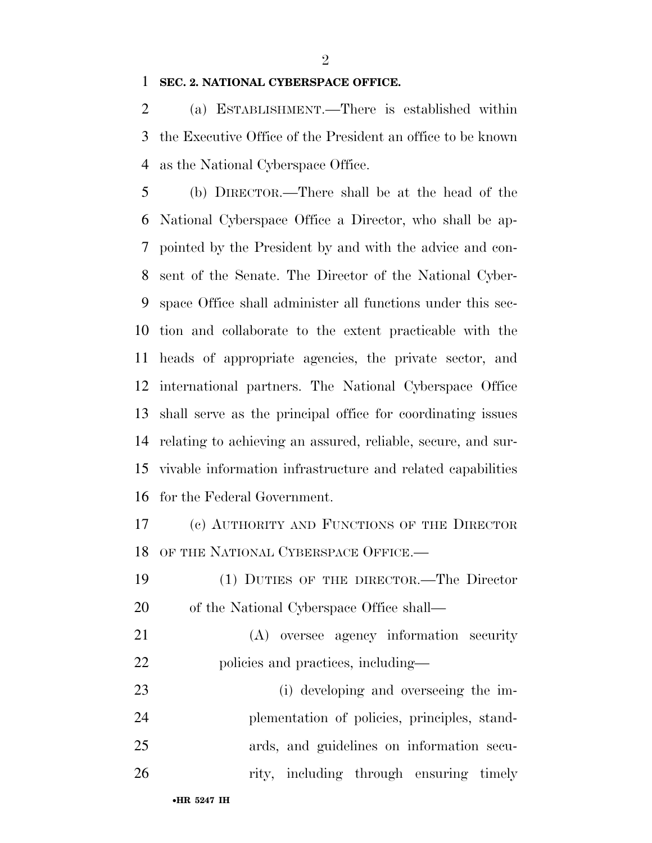## **SEC. 2. NATIONAL CYBERSPACE OFFICE.**

 (a) ESTABLISHMENT.—There is established within the Executive Office of the President an office to be known as the National Cyberspace Office.

 (b) DIRECTOR.—There shall be at the head of the National Cyberspace Office a Director, who shall be ap- pointed by the President by and with the advice and con- sent of the Senate. The Director of the National Cyber- space Office shall administer all functions under this sec- tion and collaborate to the extent practicable with the heads of appropriate agencies, the private sector, and international partners. The National Cyberspace Office shall serve as the principal office for coordinating issues relating to achieving an assured, reliable, secure, and sur- vivable information infrastructure and related capabilities for the Federal Government.

 (c) AUTHORITY AND FUNCTIONS OF THE DIRECTOR OF THE NATIONAL CYBERSPACE OFFICE.—

- (1) DUTIES OF THE DIRECTOR.—The Director of the National Cyberspace Office shall—
- (A) oversee agency information security 22 policies and practices, including—

 (i) developing and overseeing the im- plementation of policies, principles, stand- ards, and guidelines on information secu-26 rity, including through ensuring timely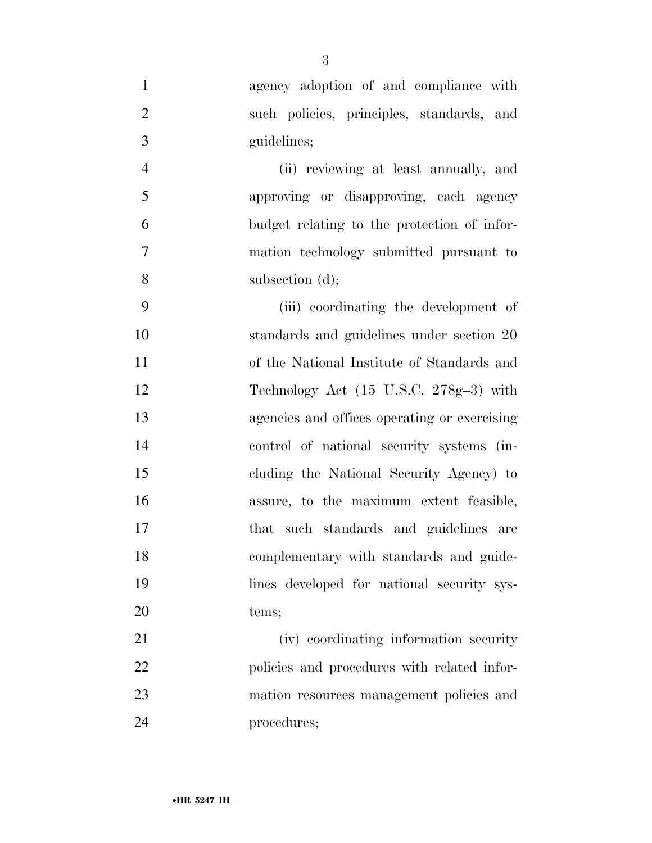agency adoption of and compliance with such policies, principles, standards, and guidelines;

 (ii) reviewing at least annually, and approving or disapproving, each agency budget relating to the protection of infor- mation technology submitted pursuant to 8 subsection (d);

 (iii) coordinating the development of standards and guidelines under section 20 of the National Institute of Standards and Technology Act (15 U.S.C. 278g–3) with agencies and offices operating or exercising control of national security systems (in- cluding the National Security Agency) to assure, to the maximum extent feasible, that such standards and guidelines are complementary with standards and guide- lines developed for national security sys-tems;

 (iv) coordinating information security 22 policies and procedures with related infor- mation resources management policies and procedures;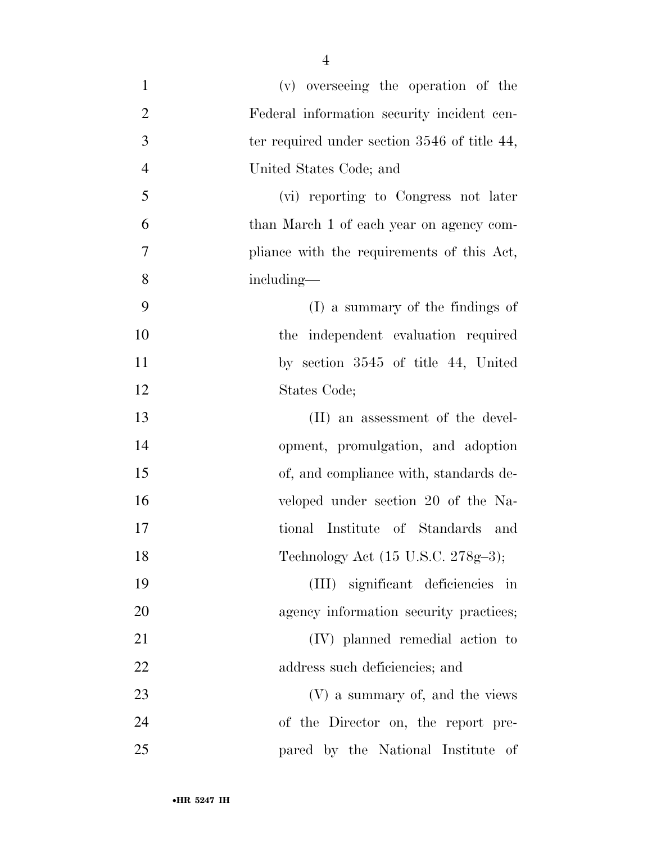| $\mathbf{1}$   | (v) overseeing the operation of the          |
|----------------|----------------------------------------------|
| $\overline{2}$ | Federal information security incident cen-   |
| 3              | ter required under section 3546 of title 44, |
| $\overline{4}$ | United States Code; and                      |
| 5              | (vi) reporting to Congress not later         |
| 6              | than March 1 of each year on agency com-     |
| $\tau$         | pliance with the requirements of this Act,   |
| 8              | including—                                   |
| 9              | (I) a summary of the findings of             |
| 10             | the independent evaluation required          |
| 11             | by section 3545 of title 44, United          |
| 12             | States Code;                                 |
| 13             | (II) an assessment of the devel-             |
| 14             | opment, promulgation, and adoption           |
| 15             | of, and compliance with, standards de-       |
| 16             | veloped under section 20 of the Na-          |
| 17             | tional Institute of Standards and            |
| 18             | Technology Act (15 U.S.C. 278g-3);           |
| 19             | (III) significant deficiencies in            |
| 20             | agency information security practices;       |
| 21             | (IV) planned remedial action to              |
| 22             | address such deficiencies; and               |
| 23             | (V) a summary of, and the views              |
| 24             | of the Director on, the report pre-          |
| 25             | pared by the National Institute of           |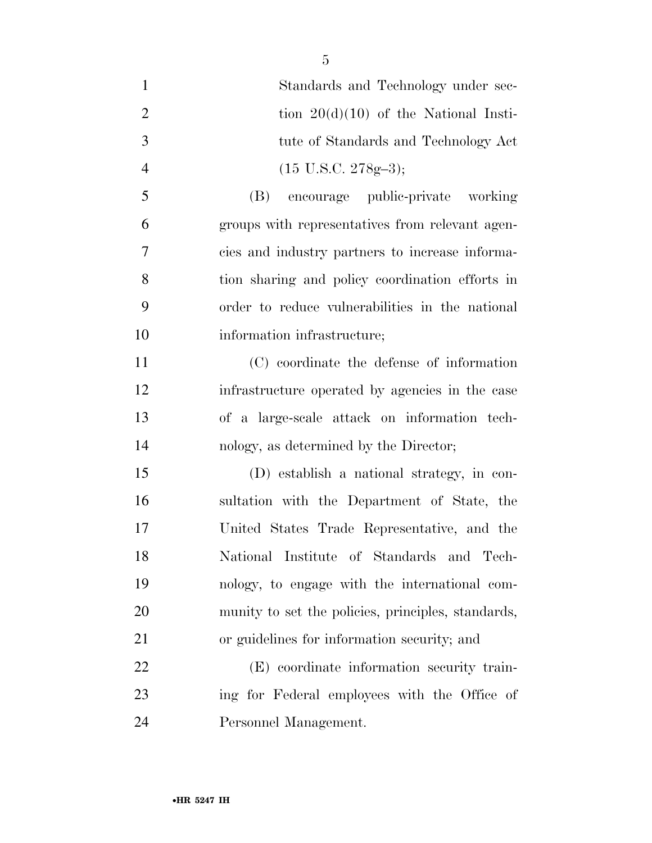| $\mathbf{1}$   | Standards and Technology under sec-                |
|----------------|----------------------------------------------------|
| $\overline{2}$ | tion $20(d)(10)$ of the National Insti-            |
| 3              | tute of Standards and Technology Act               |
| $\overline{4}$ | $(15 \text{ U.S.C. } 278 \text{g} - 3);$           |
| 5              | encourage public-private working<br>(B)            |
| 6              | groups with representatives from relevant agen-    |
| $\tau$         | cies and industry partners to increase informa-    |
| 8              | tion sharing and policy coordination efforts in    |
| 9              | order to reduce vulnerabilities in the national    |
| 10             | information infrastructure;                        |
| 11             | (C) coordinate the defense of information          |
| 12             | infrastructure operated by agencies in the case    |
| 13             | of a large-scale attack on information tech-       |
| 14             | nology, as determined by the Director;             |
| 15             | (D) establish a national strategy, in con-         |
| 16             | sultation with the Department of State, the        |
| 17             | United States Trade Representative, and the        |
| 18             | National Institute of Standards and Tech-          |
| 19             | nology, to engage with the international com-      |
| 20             | munity to set the policies, principles, standards, |
| 21             | or guidelines for information security; and        |
| 22             | (E) coordinate information security train-         |
| 23             | ing for Federal employees with the Office of       |
| 24             | Personnel Management.                              |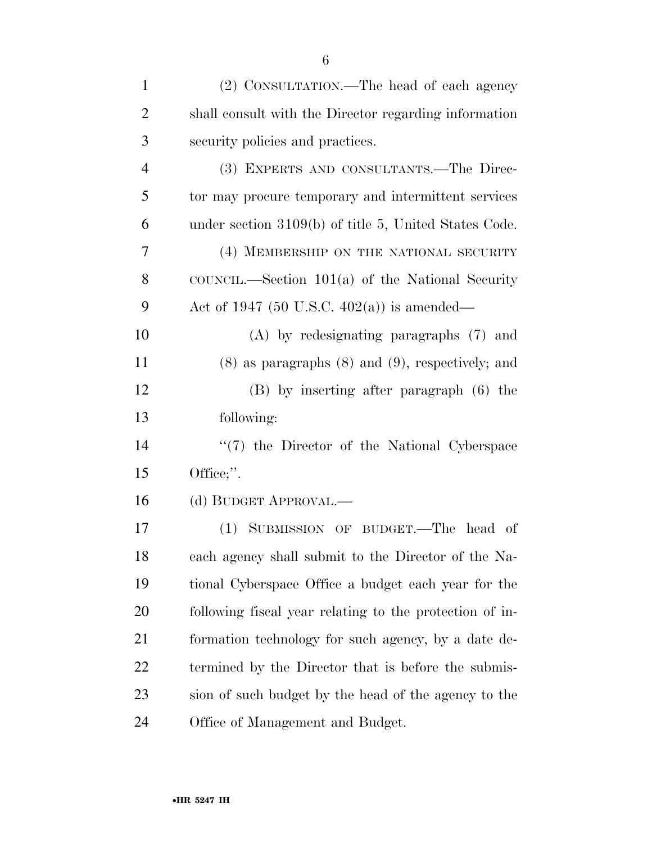| $\mathbf{1}$   | (2) CONSULTATION.—The head of each agency               |
|----------------|---------------------------------------------------------|
| $\overline{2}$ | shall consult with the Director regarding information   |
| 3              | security policies and practices.                        |
| $\overline{4}$ | (3) EXPERTS AND CONSULTANTS.—The Direc-                 |
| 5              | tor may procure temporary and intermittent services     |
| 6              | under section 3109(b) of title 5, United States Code.   |
| 7              | (4) MEMBERSHIP ON THE NATIONAL SECURITY                 |
| 8              | COUNCIL.—Section $101(a)$ of the National Security      |
| 9              | Act of 1947 (50 U.S.C. 402(a)) is amended—              |
| 10             | $(A)$ by redesignating paragraphs $(7)$ and             |
| 11             | $(8)$ as paragraphs $(8)$ and $(9)$ , respectively; and |
| 12             | (B) by inserting after paragraph (6) the                |
| 13             | following:                                              |
| 14             | $\lq(7)$ the Director of the National Cyberspace        |
| 15             | Office;".                                               |
| 16             | (d) BUDGET APPROVAL.—                                   |
| 17             | (1) SUBMISSION OF BUDGET.—The head of                   |
| 18             | each agency shall submit to the Director of the Na-     |
| 19             | tional Cyberspace Office a budget each year for the     |
| 20             | following fiscal year relating to the protection of in- |
| 21             | formation technology for such agency, by a date de-     |
| 22             | termined by the Director that is before the submis-     |
| 23             | sion of such budget by the head of the agency to the    |
| 24             | Office of Management and Budget.                        |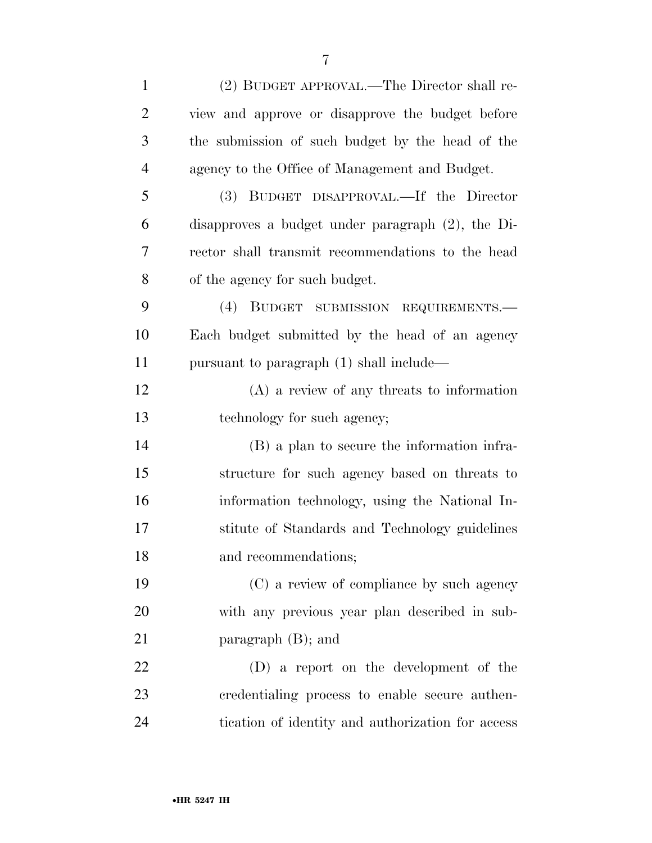| $\mathbf{1}$   | (2) BUDGET APPROVAL.—The Director shall re-          |
|----------------|------------------------------------------------------|
| $\overline{2}$ | view and approve or disapprove the budget before     |
| 3              | the submission of such budget by the head of the     |
| $\overline{4}$ | agency to the Office of Management and Budget.       |
| 5              | (3) BUDGET DISAPPROVAL.—If the Director              |
| 6              | disapproves a budget under paragraph $(2)$ , the Di- |
| 7              | rector shall transmit recommendations to the head    |
| 8              | of the agency for such budget.                       |
| 9              | (4) BUDGET SUBMISSION REQUIREMENTS.-                 |
| 10             | Each budget submitted by the head of an agency       |
| 11             | pursuant to paragraph (1) shall include—             |
| 12             | $(A)$ a review of any threats to information         |
| 13             | technology for such agency;                          |
| 14             | (B) a plan to secure the information infra-          |
| 15             | structure for such agency based on threats to        |
| 16             | information technology, using the National In-       |
| 17             | stitute of Standards and Technology guidelines       |
| 18             | and recommendations;                                 |
| 19             | (C) a review of compliance by such agency            |
| 20             | with any previous year plan described in sub-        |
| 21             | paragraph $(B)$ ; and                                |
| 22             | (D) a report on the development of the               |
| 23             | credentialing process to enable secure authen-       |
| 24             | tication of identity and authorization for access    |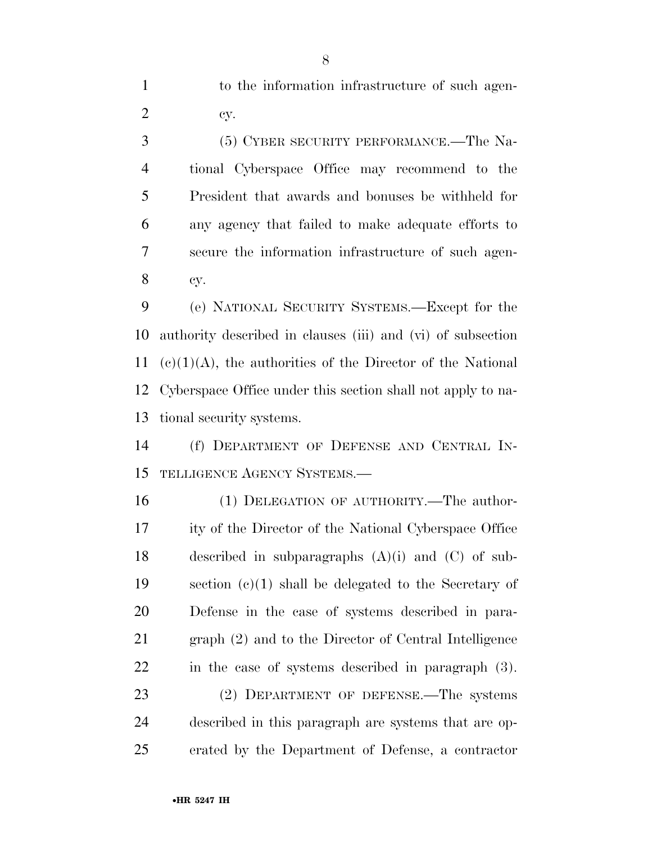to the information infrastructure of such agen-cy.

 (5) CYBER SECURITY PERFORMANCE.—The Na- tional Cyberspace Office may recommend to the President that awards and bonuses be withheld for any agency that failed to make adequate efforts to secure the information infrastructure of such agen-cy.

 (e) NATIONAL SECURITY SYSTEMS.—Except for the authority described in clauses (iii) and (vi) of subsection 11 (c)(1)(A), the authorities of the Director of the National Cyberspace Office under this section shall not apply to na-tional security systems.

 (f) DEPARTMENT OF DEFENSE AND CENTRAL IN-TELLIGENCE AGENCY SYSTEMS.—

 (1) DELEGATION OF AUTHORITY.—The author- ity of the Director of the National Cyberspace Office described in subparagraphs (A)(i) and (C) of sub- section (c)(1) shall be delegated to the Secretary of Defense in the case of systems described in para- graph (2) and to the Director of Central Intelligence in the case of systems described in paragraph (3).

 (2) DEPARTMENT OF DEFENSE.—The systems described in this paragraph are systems that are op-erated by the Department of Defense, a contractor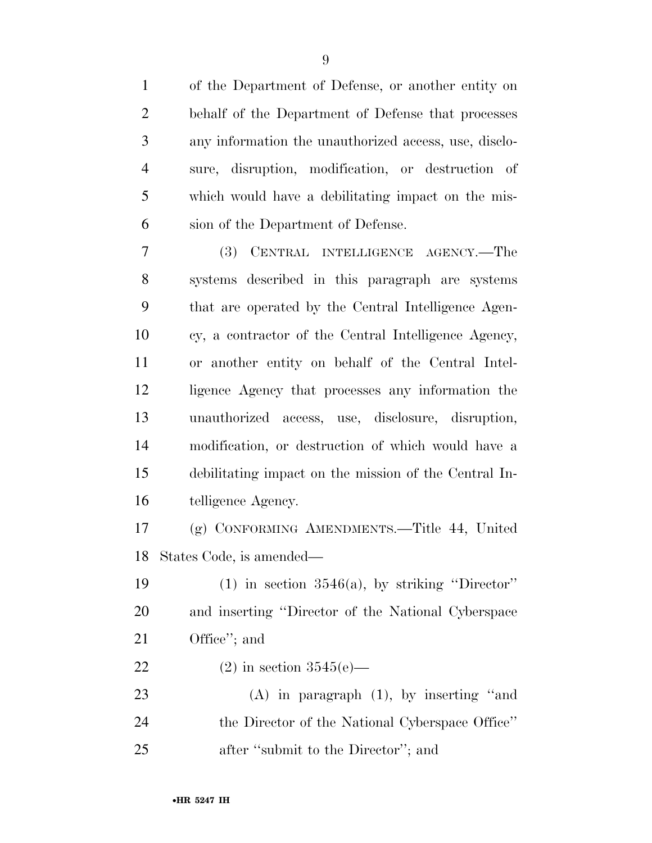of the Department of Defense, or another entity on behalf of the Department of Defense that processes any information the unauthorized access, use, disclo- sure, disruption, modification, or destruction of which would have a debilitating impact on the mis-sion of the Department of Defense.

 (3) CENTRAL INTELLIGENCE AGENCY.—The systems described in this paragraph are systems that are operated by the Central Intelligence Agen- cy, a contractor of the Central Intelligence Agency, or another entity on behalf of the Central Intel- ligence Agency that processes any information the unauthorized access, use, disclosure, disruption, modification, or destruction of which would have a debilitating impact on the mission of the Central In-telligence Agency.

 (g) CONFORMING AMENDMENTS.—Title 44, United States Code, is amended—

19 (1) in section  $3546(a)$ , by striking "Director" and inserting ''Director of the National Cyberspace Office''; and

22 (2) in section  $3545(e)$ —

 (A) in paragraph (1), by inserting ''and the Director of the National Cyberspace Office'' 25 after "submit to the Director"; and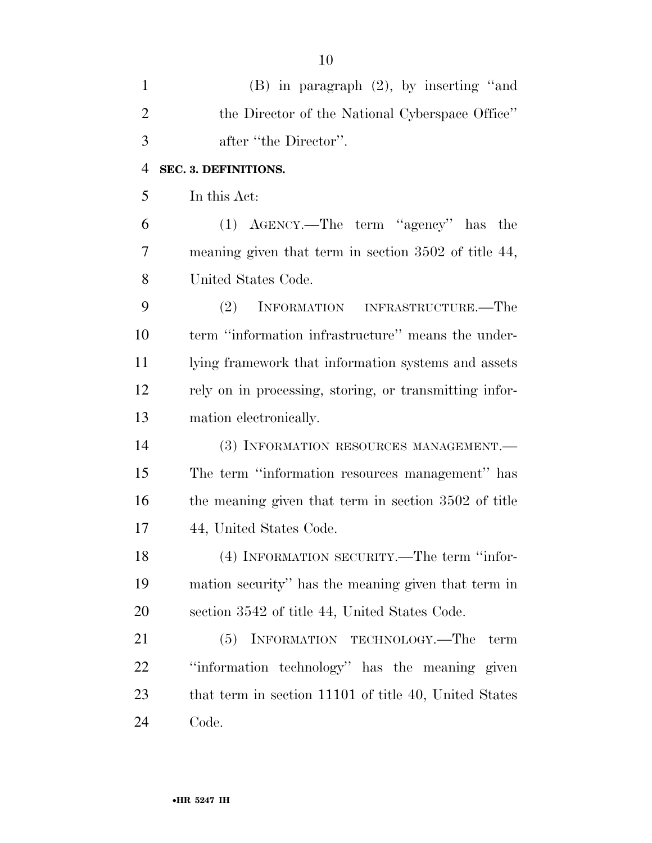| $\mathbf{1}$   | $(B)$ in paragraph $(2)$ , by inserting "and           |
|----------------|--------------------------------------------------------|
| $\overline{2}$ | the Director of the National Cyberspace Office"        |
| 3              | after "the Director".                                  |
| $\overline{4}$ | SEC. 3. DEFINITIONS.                                   |
| 5              | In this Act:                                           |
| 6              | (1) AGENCY.—The term "agency" has the                  |
| 7              | meaning given that term in section 3502 of title 44,   |
| 8              | United States Code.                                    |
| 9              | (2)<br>INFORMATION INFRASTRUCTURE.—The                 |
| 10             | term "information infrastructure" means the under-     |
| 11             | lying framework that information systems and assets    |
| 12             | rely on in processing, storing, or transmitting infor- |
| 13             | mation electronically.                                 |
| 14             | (3) INFORMATION RESOURCES MANAGEMENT.-                 |
| 15             | The term "information resources management" has        |
| 16             | the meaning given that term in section 3502 of title   |
| 17             | 44, United States Code.                                |
| 18             | (4) INFORMATION SECURITY.—The term "infor-             |
| 19             | mation security" has the meaning given that term in    |
| 20             | section 3542 of title 44, United States Code.          |
| 21             | INFORMATION TECHNOLOGY.—The<br>(5)<br>term             |
| 22             | "information technology" has the meaning given         |
| 23             | that term in section 11101 of title 40, United States  |
| 24             | Code.                                                  |